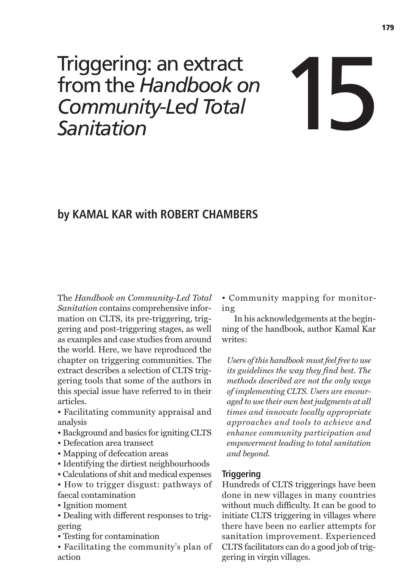# Triggering: an extract<br>from the *Handbook on*<br>Community-Led Total<br>Sanitation from the *Handbook on Community-Led Total*

# **by KAMAL KAR with ROBERT CHAMBERS**

The *Handbook on Community-Led Total Sanitation* contains comprehensive information on CLTS, its pre-triggering, triggering and post-triggering stages, as well as examples and case studies from around the world. Here, we have reproduced the chapter on triggering communities. The extract describes a selection of CLTS triggering tools that some of the authors in this special issue have referred to in their articles.

• Facilitating community appraisal and analysis

- Background and basics for igniting CLTS
- Defecation area transect
- Mapping of defecation areas
- Identifying the dirtiest neighbourhoods
- Calculations of shit and medical expenses

• How to trigger disgust: pathways of faecal contamination

• Ignition moment

• Dealing with different responses to triggering

• Testing for contamination

• Facilitating the community's plan of action

• Community mapping for monitoring

In his acknowledgements at the beginning of the handbook, author Kamal Kar writes:

*Users of this handbook must feel free to use its guidelines the way they find best. The methods described are not the only ways of implementing CLTS. Users are encouraged to use their own best judgments at all times and innovate locally appropriate approaches and tools to achieve and enhance community participation and empowerment leading to total sanitation and beyond.*

# **Triggering**

Hundreds of CLTS triggerings have been done in new villages in many countries without much difficulty. It can be good to initiate CLTS triggering in villages where there have been no earlier attempts for sanitation improvement. Experienced CLTS facilitators can do a good job of triggering in virgin villages.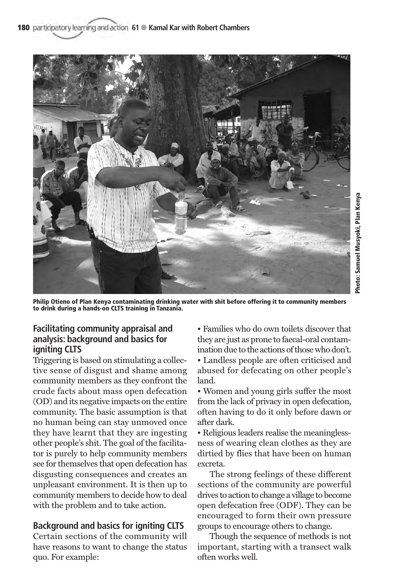

**Philip Otieno of Plan Kenya contaminating drinking water with shit before offering it to community members to drink during a hands-on CLTS training in Tanzania.**

# **Facilitating community appraisal and analysis: background and basics for igniting CLTS**

Triggering is based on stimulating a collective sense of disgust and shame among community members as they confront the crude facts about mass open defecation (OD) and its negative impacts on the entire community. The basic assumption is that no human being can stay unmoved once they have learnt that they are ingesting other people's shit. The goal of the facilitator is purely to help community members see for themselves that open defecation has disgusting consequences and creates an unpleasant environment. It is then up to community members to decide how to deal with the problem and to take action.

# **Background and basics for igniting CLTS**

Certain sections of the community will have reasons to want to change the status quo. For example:

• Families who do own toilets discover that they are just as prone to faecal-oral contamination due to the actions of those who don't. • Landless people are often criticised and abused for defecating on other people's

**Photo: Samuel Musyoki, Plan Kenya**

land. • Women and young girls suffer the most from the lack of privacy in open defecation, often having to do it only before dawn or after dark.

• Religious leaders realise the meaninglessness of wearing clean clothes as they are dirtied by flies that have been on human excreta.

The strong feelings of these different sections of the community are powerful drives to action to change a village to become open defecation free (ODF). They can be encouraged to form their own pressure groups to encourage others to change.

Though the sequence of methods is not important, starting with a transect walk often works well.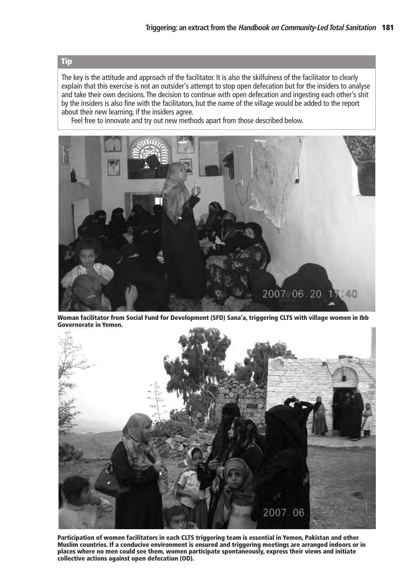# **Tip**

The key is the attitude and approach of the facilitator. It is also the skilfulness of the facilitator to clearly explain that this exercise is not an outsider's attempt to stop open defecation but for the insiders to analyse and take their own decisions. The decision to continue with open defecation and ingesting each other's shit by the insiders is also fine with the facilitators, but the name of the village would be added to the report about their new learning, if the insiders agree.

Feel free to innovate and try out new methods apart from those described below.



**Woman facilitator from Social Fund for Development (SFD) Sana'a, triggering CLTS with village women in Ibb Governorate in Yemen.** 



**Participation of women facilitators in each CLTS triggering team is essential in Yemen, Pakistan and other Muslim countries. If a conducive environment is ensured and triggering meetings are arranged indoors or in places where no men could see them, women participate spontaneously, express their views and initiate collective actions against open defecation (OD).**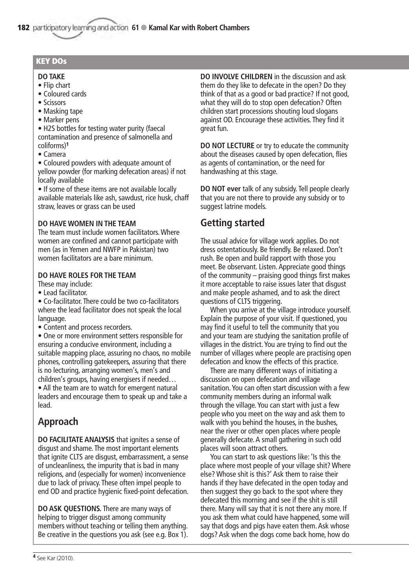# **KEY DOs**

#### **DO TAKE**

- Flip chart
- Coloured cards
- Scissors
- Masking tape
- Marker pens

• H2S bottles for testing water purity (faecal contamination and presence of salmonella and coliforms)**<sup>1</sup>**

• Camera

• Coloured powders with adequate amount of yellow powder (for marking defecation areas) if not locally available

• If some of these items are not available locally available materials like ash, sawdust, rice husk, chaff straw, leaves or grass can be used

# **DO HAVE WOMEN IN THE TEAM**

The team must include women facilitators. Where women are confined and cannot participate with men (as in Yemen and NWFP in Pakistan) two women facilitators are a bare minimum.

# **DO HAVE ROLES FOR THE TEAM**

These may include:

• Lead facilitator.

• Co-facilitator. There could be two co-facilitators where the lead facilitator does not speak the local language.

• Content and process recorders.

• One or more environment setters responsible for ensuring a conducive environment, including a suitable mapping place, assuring no chaos, no mobile phones, controlling gatekeepers, assuring that there is no lecturing, arranging women's, men's and children's groups, having energisers if needed…

• All the team are to watch for emergent natural leaders and encourage them to speak up and take a lead.

# **Approach**

**DO FACILITATE ANALYSIS** that ignites a sense of disgust and shame. The most important elements that ignite CLTS are disgust, embarrassment, a sense of uncleanliness, the impurity that is bad in many religions, and (especially for women) inconvenience due to lack of privacy. These often impel people to end OD and practice hygienic fixed-point defecation.

**DO ASK QUESTIONS.** There are many ways of helping to trigger disgust among community members without teaching or telling them anything. Be creative in the questions you ask (see e.g. Box 1). **DO INVOLVE CHILDREN** in the discussion and ask them do they like to defecate in the open? Do they think of that as a good or bad practice? If not good, what they will do to stop open defecation? Often children start processions shouting loud slogans against OD. Encourage these activities. They find it great fun.

**DO NOT LECTURE** or try to educate the community about the diseases caused by open defecation, flies as agents of contamination, or the need for handwashing at this stage.

**DO NOT ever** talk of any subsidy. Tell people clearly that you are not there to provide any subsidy or to suggest latrine models.

# **Getting started**

The usual advice for village work applies. Do not dress ostentatiously. Be friendly. Be relaxed. Don't rush. Be open and build rapport with those you meet. Be observant. Listen. Appreciate good things of the community – praising good things first makes it more acceptable to raise issues later that disgust and make people ashamed, and to ask the direct questions of CLTS triggering.

When you arrive at the village introduce yourself. Explain the purpose of your visit. If questioned, you may find it useful to tell the community that you and your team are studying the sanitation profile of villages in the district. You are trying to find out the number of villages where people are practising open defecation and know the effects of this practice.

There are many different ways of initiating a discussion on open defecation and village sanitation. You can often start discussion with a few community members during an informal walk through the village. You can start with just a few people who you meet on the way and ask them to walk with you behind the houses, in the bushes, near the river or other open places where people generally defecate. A small gathering in such odd places will soon attract others.

You can start to ask questions like: 'Is this the place where most people of your village shit? Where else? Whose shit is this?' Ask them to raise their hands if they have defecated in the open today and then suggest they go back to the spot where they defecated this morning and see if the shit is still there. Many will say that it is not there any more. If you ask them what could have happened, some will say that dogs and pigs have eaten them. Ask whose dogs? Ask when the dogs come back home, how do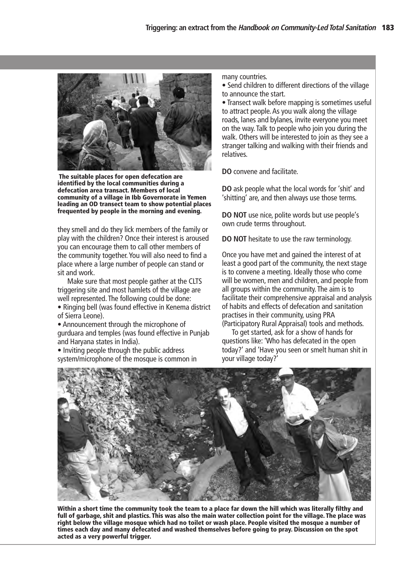

**The suitable places for open defecation are identified by the local communities during a defecation area transact. Members of local community of a village in Ibb Governorate in Yemen leading an OD transect team to show potential places frequented by people in the morning and evening.** 

they smell and do they lick members of the family or play with the children? Once their interest is aroused you can encourage them to call other members of the community together. You will also need to find a place where a large number of people can stand or sit and work.

Make sure that most people gather at the CLTS triggering site and most hamlets of the village are well represented. The following could be done:

• Ringing bell (was found effective in Kenema district of Sierra Leone).

• Announcement through the microphone of gurduara and temples (was found effective in Punjab and Haryana states in India).

• Inviting people through the public address system/microphone of the mosque is common in many countries.

• Send children to different directions of the village to announce the start.

• Transect walk before mapping is sometimes useful to attract people. As you walk along the village roads, lanes and bylanes, invite everyone you meet on the way. Talk to people who join you during the walk. Others will be interested to join as they see a stranger talking and walking with their friends and relatives.

**DO** convene and facilitate.

**DO** ask people what the local words for 'shit' and 'shitting' are, and then always use those terms.

**DO NOT** use nice, polite words but use people's own crude terms throughout.

**DO NOT** hesitate to use the raw terminology.

Once you have met and gained the interest of at least a good part of the community, the next stage is to convene a meeting. Ideally those who come will be women, men and children, and people from all groups within the community. The aim is to facilitate their comprehensive appraisal and analysis of habits and effects of defecation and sanitation practises in their community, using PRA (Participatory Rural Appraisal) tools and methods.

To get started, ask for a show of hands for questions like: 'Who has defecated in the open today?' and 'Have you seen or smelt human shit in your village today?'



**Within a short time the community took the team to a place far down the hill which was literally filthy and full of garbage, shit and plastics. This was also the main water collection point for the village. The place was right below the village mosque which had no toilet or wash place. People visited the mosque a number of times each day and many defecated and washed themselves before going to pray. Discussion on the spot acted as a very powerful trigger.**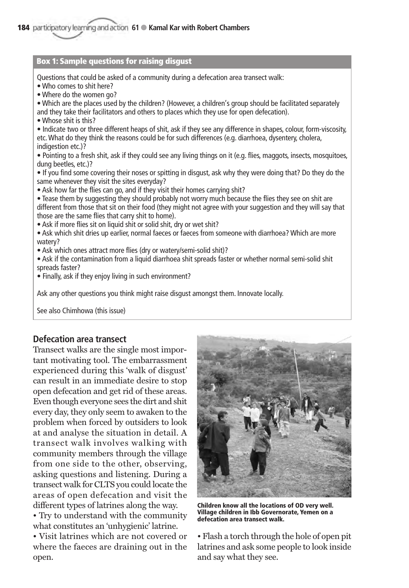#### **Box 1: Sample questions for raising disgust**

Questions that could be asked of a community during a defecation area transect walk:

- Who comes to shit here?
- Where do the women go?

• Which are the places used by the children? (However, a children's group should be facilitated separately and they take their facilitators and others to places which they use for open defecation).

• Whose shit is this?

• Indicate two or three different heaps of shit, ask if they see any difference in shapes, colour, form-viscosity, etc. What do they think the reasons could be for such differences (e.g. diarrhoea, dysentery, cholera, indigestion etc.)?

• Pointing to a fresh shit, ask if they could see any living things on it (e.g. flies, maggots, insects, mosquitoes, dung beetles, etc.)?

• If you find some covering their noses or spitting in disgust, ask why they were doing that? Do they do the same whenever they visit the sites everyday?

• Ask how far the flies can go, and if they visit their homes carrying shit?

• Tease them by suggesting they should probably not worry much because the flies they see on shit are different from those that sit on their food (they might not agree with your suggestion and they will say that those are the same flies that carry shit to home).

- Ask if more flies sit on liquid shit or solid shit, dry or wet shit?
- Ask which shit dries up earlier, normal faeces or faeces from someone with diarrhoea? Which are more watery?
- Ask which ones attract more flies (dry or watery/semi-solid shit)?
- Ask if the contamination from a liquid diarrhoea shit spreads faster or whether normal semi-solid shit spreads faster?
- Finally, ask if they enjoy living in such environment?

Ask any other questions you think might raise disgust amongst them. Innovate locally.

See also Chimhowa (this issue)

# **Defecation area transect**

Transect walks are the single most important motivating tool. The embarrassment experienced during this 'walk of disgust' can result in an immediate desire to stop open defecation and get rid of these areas. Even though everyone sees the dirt and shit every day, they only seem to awaken to the problem when forced by outsiders to look at and analyse the situation in detail. A transect walk involves walking with community members through the village from one side to the other, observing, asking questions and listening. During a transect walk for CLTS you could locate the areas of open defecation and visit the different types of latrines along the way.

• Try to understand with the community what constitutes an 'unhygienic' latrine.

• Visit latrines which are not covered or where the faeces are draining out in the open.



**Children know all the locations of OD very well. Village children in Ibb Governorate, Yemen on a defecation area transect walk.**

• Flash a torch through the hole of open pit latrines and ask some people to look inside and say what they see.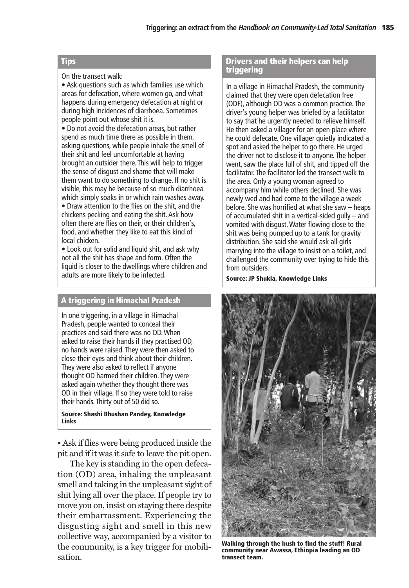#### **Tips**

On the transect walk:

• Ask questions such as which families use which areas for defecation, where women go, and what happens during emergency defecation at night or during high incidences of diarrhoea. Sometimes people point out whose shit it is.

 $\bullet$  Do not avoid the defecation areas, but rather spend as much time there as possible in them, asking questions, while people inhale the smell of their shit and feel uncomfortable at having brought an outsider there. This will help to trigger the sense of disgust and shame that will make them want to do something to change. If no shit is visible, this may be because of so much diarrhoea which simply soaks in or which rain washes away.

• Draw attention to the flies on the shit, and the chickens pecking and eating the shit. Ask how often there are flies on their, or their children's, food, and whether they like to eat this kind of local chicken.

• Look out for solid and liquid shit, and ask why not all the shit has shape and form. Often the liquid is closer to the dwellings where children and adults are more likely to be infected.

# **A triggering in Himachal Pradesh**

In one triggering, in a village in Himachal Pradesh, people wanted to conceal their practices and said there was no OD. When asked to raise their hands if they practised OD, no hands were raised. They were then asked to close their eyes and think about their children. They were also asked to reflect if anyone thought OD harmed their children. They were asked again whether they thought there was OD in their village. If so they were told to raise their hands. Thirty out of 50 did so.

#### **Source: Shashi Bhushan Pandey, Knowledge Links**

• Ask if flies were being produced inside the pit and if it was it safe to leave the pit open.

The key is standing in the open defecation (OD) area, inhaling the unpleasant smell and taking in the unpleasant sight of shit lying all over the place. If people try to move you on, insist on staying there despite their embarrassment. Experiencing the disgusting sight and smell in this new collective way, accompanied by a visitor to the community, is a key trigger for mobilisation.

#### **Drivers and their helpers can help triggering**

In a village in Himachal Pradesh, the community claimed that they were open defecation free (ODF), although OD was a common practice. The driver's young helper was briefed by a facilitator to say that he urgently needed to relieve himself. He then asked a villager for an open place where he could defecate. One villager quietly indicated a spot and asked the helper to go there. He urged the driver not to disclose it to anyone. The helper went, saw the place full of shit, and tipped off the facilitator. The facilitator led the transect walk to the area. Only a young woman agreed to accompany him while others declined. She was newly wed and had come to the village a week before. She was horrified at what she saw – heaps of accumulated shit in a vertical-sided gully – and vomited with disgust. Water flowing close to the shit was being pumped up to a tank for gravity distribution. She said she would ask all girls marrying into the village to insist on a toilet, and challenged the community over trying to hide this from outsiders.

**Source: JP Shukla, Knowledge Links**



**Walking through the bush to find the stuff! Rural community near Awassa, Ethiopia leading an OD transect team.**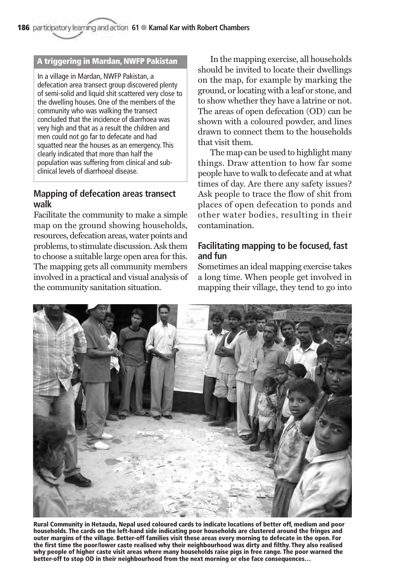# **A triggering in Mardan, NWFP Pakistan**

In a village in Mardan, NWFP Pakistan, a defecation area transect group discovered plenty of semi-solid and liquid shit scattered very close to the dwelling houses. One of the members of the community who was walking the transect concluded that the incidence of diarrhoea was very high and that as a result the children and men could not go far to defecate and had squatted near the houses as an emergency. This clearly indicated that more than half the population was suffering from clinical and subclinical levels of diarrhoeal disease.

# **Mapping of defecation areas transect walk**

Facilitate the community to make a simple map on the ground showing households, resources, defecation areas, water points and problems, to stimulate discussion. Ask them to choose a suitable large open area for this. The mapping gets all community members involved in a practical and visual analysis of the community sanitation situation.

In the mapping exercise, all households should be invited to locate their dwellings on the map, for example by marking the ground, or locating with a leaf or stone, and to show whether they have a latrine or not. The areas of open defecation (OD) can be shown with a coloured powder, and lines drawn to connect them to the households that visit them.

The map can be used to highlight many things. Draw attention to how far some people have to walk to defecate and at what times of day. Are there any safety issues? Ask people to trace the flow of shit from places of open defecation to ponds and other water bodies, resulting in their contamination.

# **Facilitating mapping to be focused, fast and fun**

Sometimes an ideal mapping exercise takes a long time. When people get involved in mapping their village, they tend to go into



**Rural Community in Hetauda, Nepal used coloured cards to indicate locations of better off, medium and poor households. The cards on the left-hand side indicating poor households are clustered around the fringes and outer margins of the village. Better-off families visit these areas every morning to defecate in the open. For the first time the poor/lower caste realised why their neighbourhood was dirty and filthy. They also realised why people of higher caste visit areas where many households raise pigs in free range. The poor warned the better-off to stop OD in their neighbourhood from the next morning or else face consequences…**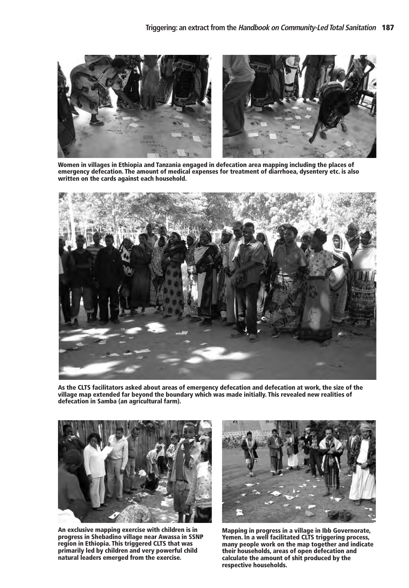

**Women in villages in Ethiopia and Tanzania engaged in defecation area mapping including the places of emergency defecation. The amount of medical expenses for treatment of diarrhoea, dysentery etc. is also written on the cards against each household.** 



**As the CLTS facilitators asked about areas of emergency defecation and defecation at work, the size of the village map extended far beyond the boundary which was made initially. This revealed new realities of defecation in Samba (an agricultural farm).** 



**An exclusive mapping exercise with children is in progress in Shebadino village near Awassa in SSNP region in Ethiopia. This triggered CLTS that was primarily led by children and very powerful child natural leaders emerged from the exercise.** 



**Mapping in progress in a village in Ibb Governorate, Yemen. In a well facilitated CLTS triggering process, many people work on the map together and indicate their households, areas of open defecation and calculate the amount of shit produced by the respective households.**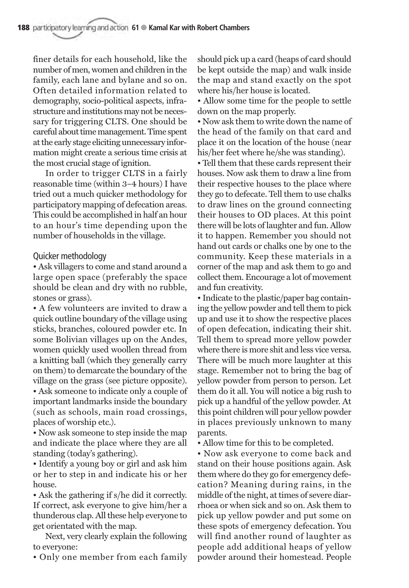finer details for each household, like the number of men, women and children in the family, each lane and bylane and so on. Often detailed information related to demography, socio-political aspects, infrastructure and institutions may not be necessary for triggering CLTS. One should be careful about time management. Time spent at the early stage eliciting unnecessary information might create a serious time crisis at the most crucial stage of ignition.

In order to trigger CLTS in a fairly reasonable time (within 3–4 hours) I have tried out a much quicker methodology for participatory mapping of defecation areas. This could be accomplished in half an hour to an hour's time depending upon the number of households in the village.

# Quicker methodology

• Ask villagers to come and stand around a large open space (preferably the space should be clean and dry with no rubble, stones or grass).

• A few volunteers are invited to draw a quick outline boundary of the village using sticks, branches, coloured powder etc. In some Bolivian villages up on the Andes, women quickly used woollen thread from a knitting ball (which they generally carry on them) to demarcate the boundary of the village on the grass (see picture opposite). • Ask someone to indicate only a couple of important landmarks inside the boundary (such as schools, main road crossings, places of worship etc.).

• Now ask someone to step inside the map and indicate the place where they are all standing (today's gathering).

• Identify a young boy or girl and ask him or her to step in and indicate his or her house.

• Ask the gathering if s/he did it correctly. If correct, ask everyone to give him/her a thunderous clap. All these help everyone to get orientated with the map.

Next, very clearly explain the following to everyone:

• Only one member from each family

should pick up a card (heaps of card should be kept outside the map) and walk inside the map and stand exactly on the spot where his/her house is located.

• Allow some time for the people to settle down on the map properly.

• Now ask them to write down the name of the head of the family on that card and place it on the location of the house (near his/her feet where he/she was standing).

• Tell them that these cards represent their houses. Now ask them to draw a line from their respective houses to the place where they go to defecate. Tell them to use chalks to draw lines on the ground connecting their houses to OD places. At this point there will be lots of laughter and fun. Allow it to happen. Remember you should not hand out cards or chalks one by one to the community. Keep these materials in a corner of the map and ask them to go and collect them. Encourage a lot of movement and fun creativity.

• Indicate to the plastic/paper bag containing the yellow powder and tell them to pick up and use it to show the respective places of open defecation, indicating their shit. Tell them to spread more yellow powder where there is more shit and less vice versa. There will be much more laughter at this stage. Remember not to bring the bag of yellow powder from person to person. Let them do it all. You will notice a big rush to pick up a handful of the yellow powder. At this point children will pour yellow powder in places previously unknown to many parents.

• Allow time for this to be completed.

• Now ask everyone to come back and stand on their house positions again. Ask them where do they go for emergency defecation? Meaning during rains, in the middle of the night, at times of severe diarrhoea or when sick and so on. Ask them to pick up yellow powder and put some on these spots of emergency defecation. You will find another round of laughter as people add additional heaps of yellow powder around their homestead. People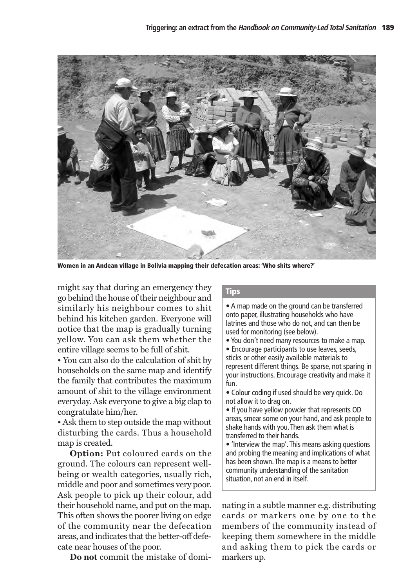

**Women in an Andean village in Bolivia mapping their defecation areas: 'Who shits where?'**

might say that during an emergency they go behind the house of their neighbour and similarly his neighbour comes to shit behind his kitchen garden. Everyone will notice that the map is gradually turning yellow. You can ask them whether the entire village seems to be full of shit.

• You can also do the calculation of shit by households on the same map and identify the family that contributes the maximum amount of shit to the village environment everyday. Ask everyone to give a big clap to congratulate him/her.

• Ask them to step outside the map without disturbing the cards. Thus a household map is created.

**Option:** Put coloured cards on the ground. The colours can represent wellbeing or wealth categories, usually rich, middle and poor and sometimes very poor. Ask people to pick up their colour, add their household name, and put on the map. This often shows the poorer living on edge of the community near the defecation areas, and indicates that the better-off defecate near houses of the poor.

**Do not** commit the mistake of domi-

# **Tips**

• A map made on the ground can be transferred onto paper, illustrating households who have latrines and those who do not, and can then be used for monitoring (see below).

- You don't need many resources to make a map.
- Encourage participants to use leaves, seeds, sticks or other easily available materials to represent different things. Be sparse, not sparing in your instructions. Encourage creativity and make it fun.
- Colour coding if used should be very quick. Do not allow it to drag on.
- If you have yellow powder that represents OD areas, smear some on your hand, and ask people to shake hands with you. Then ask them what is transferred to their hands.
- 'Interview the map'. This means asking questions and probing the meaning and implications of what has been shown. The map is a means to better community understanding of the sanitation situation, not an end in itself.

nating in a subtle manner e.g. distributing cards or markers one by one to the members of the community instead of keeping them somewhere in the middle and asking them to pick the cards or markers up.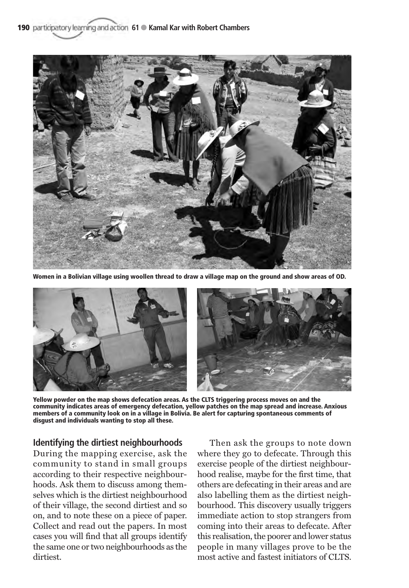

**Women in a Bolivian village using woollen thread to draw a village map on the ground and show areas of OD.**



**Yellow powder on the map shows defecation areas. As the CLTS triggering process moves on and the community indicates areas of emergency defecation, yellow patches on the map spread and increase. Anxious members of a community look on in a village in Bolivia. Be alert for capturing spontaneous comments of disgust and individuals wanting to stop all these.**

# **Identifying the dirtiest neighbourhoods**

During the mapping exercise, ask the community to stand in small groups according to their respective neighbourhoods. Ask them to discuss among themselves which is the dirtiest neighbourhood of their village, the second dirtiest and so on, and to note these on a piece of paper. Collect and read out the papers. In most cases you will find that all groups identify the same one or two neighbourhoods as the dirtiest.

Then ask the groups to note down where they go to defecate. Through this exercise people of the dirtiest neighbourhood realise, maybe for the first time, that others are defecating in their areas and are also labelling them as the dirtiest neighbourhood. This discovery usually triggers immediate action to stop strangers from coming into their areas to defecate. After this realisation, the poorer and lower status people in many villages prove to be the most active and fastest initiators of CLTS.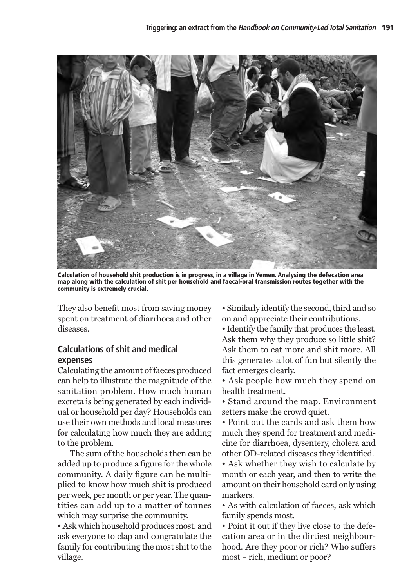

**Calculation of household shit production is in progress, in a village in Yemen. Analysing the defecation area map along with the calculation of shit per household and faecal-oral transmission routes together with the community is extremely crucial.** 

They also benefit most from saving money spent on treatment of diarrhoea and other diseases.

# **Calculations of shit and medical expenses**

Calculating the amount of faeces produced can help to illustrate the magnitude of the sanitation problem. How much human excreta is being generated by each individual or household per day? Households can use their own methods and local measures for calculating how much they are adding to the problem.

The sum of the households then can be added up to produce a figure for the whole community. A daily figure can be multiplied to know how much shit is produced per week, per month or per year. The quantities can add up to a matter of tonnes which may surprise the community.

• Ask which household produces most, and ask everyone to clap and congratulate the family for contributing the most shit to the village.

• Similarly identify the second, third and so on and appreciate their contributions.

• Identify the family that produces the least. Ask them why they produce so little shit? Ask them to eat more and shit more. All this generates a lot of fun but silently the fact emerges clearly.

• Ask people how much they spend on health treatment.

• Stand around the map. Environment setters make the crowd quiet.

• Point out the cards and ask them how much they spend for treatment and medicine for diarrhoea, dysentery, cholera and other OD-related diseases they identified.

• Ask whether they wish to calculate by month or each year, and then to write the amount on their household card only using markers.

• As with calculation of faeces, ask which family spends most.

• Point it out if they live close to the defecation area or in the dirtiest neighbourhood. Are they poor or rich? Who suffers most – rich, medium or poor?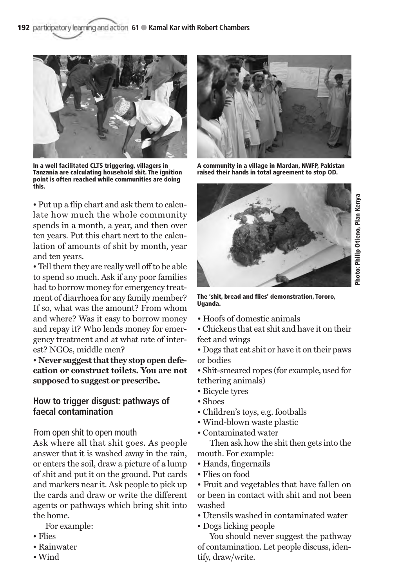

**In a well facilitated CLTS triggering, villagers in Tanzania are calculating household shit. The ignition point is often reached while communities are doing this.**

• Put up a flip chart and ask them to calculate how much the whole community spends in a month, a year, and then over ten years. Put this chart next to the calculation of amounts of shit by month, year and ten years.

• Tell them they are really well off to be able to spend so much. Ask if any poor families had to borrow money for emergency treatment of diarrhoea for any family member? If so, what was the amount? From whom and where? Was it easy to borrow money and repay it? Who lends money for emergency treatment and at what rate of interest? NGOs, middle men?

• **Never suggest that they stop open defecation or construct toilets. You are not supposed to suggest or prescribe.** 

# **How to trigger disgust: pathways of faecal contamination**

From open shit to open mouth

Ask where all that shit goes. As people answer that it is washed away in the rain, or enters the soil, draw a picture of a lump of shit and put it on the ground. Put cards and markers near it. Ask people to pick up the cards and draw or write the different agents or pathways which bring shit into the home.

For example:

- Flies
- Rainwater
- Wind



**A community in a village in Mardan, NWFP, Pakistan raised their hands in total agreement to stop OD.**



**The 'shit, bread and flies' demonstration, Tororo, Uganda.** 

- Hoofs of domestic animals
- Chickens that eat shit and have it on their feet and wings
- Dogs that eat shit or have it on their paws or bodies

• Shit-smeared ropes (for example, used for tethering animals)

- Bicycle tyres
- Shoes
- Children's toys, e.g. footballs
- Wind-blown waste plastic
- Contaminated water

Then ask how the shit then gets into the mouth. For example:

- Hands, fingernails
- Flies on food

• Fruit and vegetables that have fallen on or been in contact with shit and not been washed

• Utensils washed in contaminated water

• Dogs licking people

You should never suggest the pathway of contamination. Let people discuss, identify, draw/write.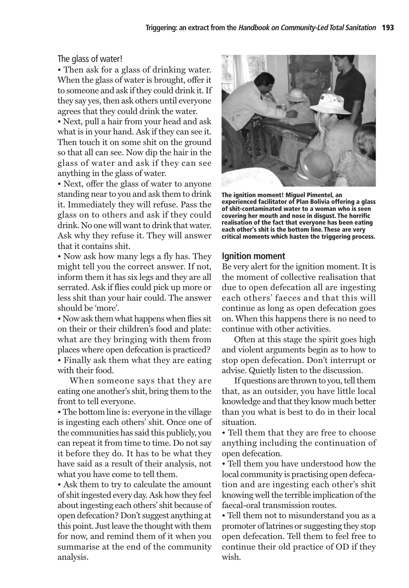The glass of water!

• Then ask for a glass of drinking water. When the glass of water is brought, offer it to someone and ask if they could drink it. If they say yes, then ask others until everyone agrees that they could drink the water.

• Next, pull a hair from your head and ask what is in your hand. Ask if they can see it. Then touch it on some shit on the ground so that all can see. Now dip the hair in the glass of water and ask if they can see anything in the glass of water.

• Next, offer the glass of water to anyone standing near to you and ask them to drink it. Immediately they will refuse. Pass the glass on to others and ask if they could drink. No one will want to drink that water. Ask why they refuse it. They will answer that it contains shit.

• Now ask how many legs a fly has. They might tell you the correct answer. If not, inform them it has six legs and they are all serrated. Ask if flies could pick up more or less shit than your hair could. The answer should be 'more'.

• Now ask them what happens when flies sit on their or their children's food and plate: what are they bringing with them from places where open defecation is practiced? • Finally ask them what they are eating with their food.

When someone says that they are eating one another's shit, bring them to the front to tell everyone.

• The bottom line is: everyone in the village is ingesting each others' shit. Once one of the communities has said this publicly, you can repeat it from time to time. Do not say it before they do. It has to be what they have said as a result of their analysis, not what you have come to tell them.

• Ask them to try to calculate the amount of shit ingested every day. Ask how they feel about ingesting each others' shit because of open defecation? Don't suggest anything at this point. Just leave the thought with them for now, and remind them of it when you summarise at the end of the community analysis.



**The ignition moment! Miguel Pimentel, an experienced facilitator of Plan Bolivia offering a glass of shit-contaminated water to a woman who is seen covering her mouth and nose in disgust. The horrific realisation of the fact that everyone has been eating each other's shit is the bottom line. These are very critical moments which hasten the triggering process.**

#### **Ignition moment**

Be very alert for the ignition moment. It is the moment of collective realisation that due to open defecation all are ingesting each others' faeces and that this will continue as long as open defecation goes on. When this happens there is no need to continue with other activities.

Often at this stage the spirit goes high and violent arguments begin as to how to stop open defecation. Don't interrupt or advise. Quietly listen to the discussion.

If questions are thrown to you, tell them that, as an outsider, you have little local knowledge and that they know much better than you what is best to do in their local situation.

• Tell them that they are free to choose anything including the continuation of open defecation.

• Tell them you have understood how the local community is practising open defecation and are ingesting each other's shit knowing well the terrible implication of the faecal-oral transmission routes.

• Tell them not to misunderstand you as a promoter of latrines or suggesting they stop open defecation. Tell them to feel free to continue their old practice of OD if they wish.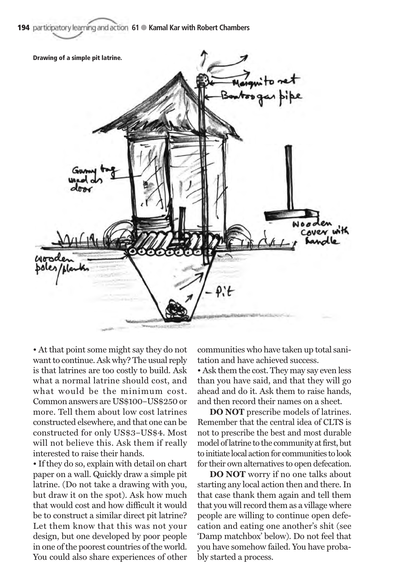194 **participatory learning and action 61 · Kamal Kar with Robert Chambers** 



• At that point some might say they do not want to continue. Ask why? The usual reply is that latrines are too costly to build. Ask what a normal latrine should cost, and what would be the minimum cost. Common answers are US\$100–US\$250 or more. Tell them about low cost latrines constructed elsewhere, and that one can be constructed for only US\$3–US\$4. Most will not believe this. Ask them if really interested to raise their hands.

• If they do so, explain with detail on chart paper on a wall. Quickly draw a simple pit latrine. (Do not take a drawing with you, but draw it on the spot). Ask how much that would cost and how difficult it would be to construct a similar direct pit latrine? Let them know that this was not your design, but one developed by poor people in one of the poorest countries of the world. You could also share experiences of other

communities who have taken up total sanitation and have achieved success.

• Ask them the cost. They may say even less than you have said, and that they will go ahead and do it. Ask them to raise hands, and then record their names on a sheet.

**DO NOT** prescribe models of latrines. Remember that the central idea of CLTS is not to prescribe the best and most durable model of latrine to the community at first, but to initiate local action for communities to look for their own alternatives to open defecation.

**DO NOT** worry if no one talks about starting any local action then and there. In that case thank them again and tell them that you will record them as a village where people are willing to continue open defecation and eating one another's shit (see 'Damp matchbox' below). Do not feel that you have somehow failed. You have probably started a process.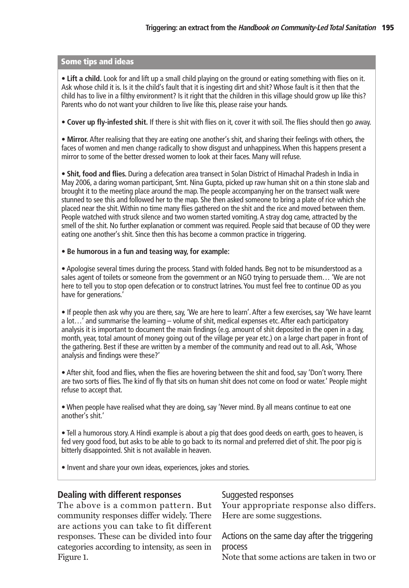# **Some tips and ideas**

• **Lift a child.** Look for and lift up a small child playing on the ground or eating something with flies on it. Ask whose child it is. Is it the child's fault that it is ingesting dirt and shit? Whose fault is it then that the child has to live in a filthy environment? Is it right that the children in this village should grow up like this? Parents who do not want your children to live like this, please raise your hands.

• **Cover up fly-infested shit.** If there is shit with flies on it, cover it with soil. The flies should then go away.

• **Mirror.** After realising that they are eating one another's shit, and sharing their feelings with others, the faces of women and men change radically to show disgust and unhappiness. When this happens present a mirror to some of the better dressed women to look at their faces. Many will refuse.

• **Shit, food and flies.** During a defecation area transect in Solan District of Himachal Pradesh in India in May 2006, a daring woman participant, Smt. Nina Gupta, picked up raw human shit on a thin stone slab and brought it to the meeting place around the map. The people accompanying her on the transect walk were stunned to see this and followed her to the map. She then asked someone to bring a plate of rice which she placed near the shit. Within no time many flies gathered on the shit and the rice and moved between them. People watched with struck silence and two women started vomiting. A stray dog came, attracted by the smell of the shit. No further explanation or comment was required. People said that because of OD they were eating one another's shit. Since then this has become a common practice in triggering.

#### • **Be humorous in a fun and teasing way, for example:**

• Apologise several times during the process. Stand with folded hands. Beg not to be misunderstood as a sales agent of toilets or someone from the government or an NGO trying to persuade them… 'We are not here to tell you to stop open defecation or to construct latrines. You must feel free to continue OD as you have for generations.'

• If people then ask why you are there, say, 'We are here to learn'. After a few exercises, say 'We have learnt a lot…' and summarise the learning – volume of shit, medical expenses etc. After each participatory analysis it is important to document the main findings (e.g. amount of shit deposited in the open in a day, month, year, total amount of money going out of the village per year etc.) on a large chart paper in front of the gathering. Best if these are written by a member of the community and read out to all. Ask, 'Whose analysis and findings were these?'

• After shit, food and flies, when the flies are hovering between the shit and food, say 'Don't worry. There are two sorts of flies. The kind of fly that sits on human shit does not come on food or water.' People might refuse to accept that.

• When people have realised what they are doing, say 'Never mind. By all means continue to eat one another's shit.'

• Tell a humorous story. A Hindi example is about a pig that does good deeds on earth, goes to heaven, is fed very good food, but asks to be able to go back to its normal and preferred diet of shit. The poor pig is bitterly disappointed. Shit is not available in heaven.

• Invent and share your own ideas, experiences, jokes and stories.

# **Dealing with different responses**

The above is a common pattern. But community responses differ widely. There are actions you can take to fit different responses. These can be divided into four categories according to intensity, as seen in Figure 1.

# Suggested responses

Your appropriate response also differs. Here are some suggestions.

Actions on the same day after the triggering process

Note that some actions are taken in two or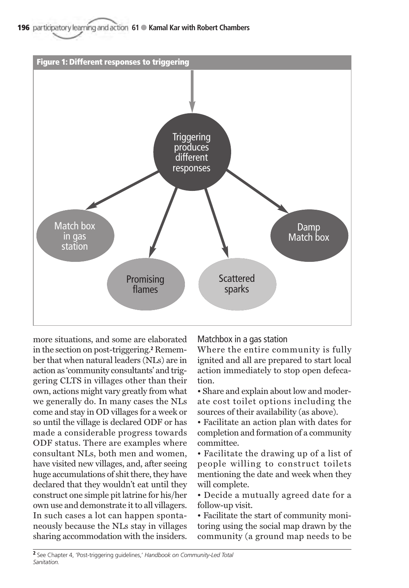196 **participatory learning and action 61 · Kamal Kar with Robert Chambers** 



more situations, and some are elaborated in the section on post-triggering.**<sup>2</sup>** Remember that when natural leaders (NLs) are in action as 'community consultants' and triggering CLTS in villages other than their own, actions might vary greatly from what we generally do. In many cases the NLs come and stay in OD villages for a week or so until the village is declared ODF or has made a considerable progress towards ODF status. There are examples where consultant NLs, both men and women, have visited new villages, and, after seeing huge accumulations of shit there, they have declared that they wouldn't eat until they construct one simple pit latrine for his/her own use and demonstrate it to all villagers. In such cases a lot can happen spontaneously because the NLs stay in villages sharing accommodation with the insiders.

Matchbox in a gas station

Where the entire community is fully ignited and all are prepared to start local action immediately to stop open defecation.

• Share and explain about low and moderate cost toilet options including the sources of their availability (as above).

• Facilitate an action plan with dates for completion and formation of a community committee.

• Facilitate the drawing up of a list of people willing to construct toilets mentioning the date and week when they will complete.

• Decide a mutually agreed date for a follow-up visit.

• Facilitate the start of community monitoring using the social map drawn by the community (a ground map needs to be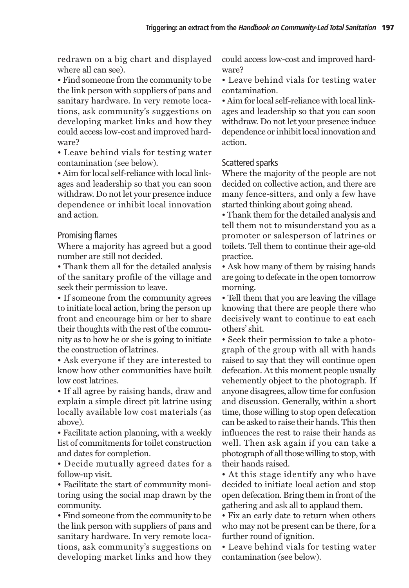redrawn on a big chart and displayed where all can see).

• Find someone from the community to be the link person with suppliers of pans and sanitary hardware. In very remote locations, ask community's suggestions on developing market links and how they could access low-cost and improved hardware?

• Leave behind vials for testing water contamination (see below).

• Aim for local self-reliance with local linkages and leadership so that you can soon withdraw. Do not let your presence induce dependence or inhibit local innovation and action.

# Promising flames

Where a majority has agreed but a good number are still not decided.

• Thank them all for the detailed analysis of the sanitary profile of the village and seek their permission to leave.

• If someone from the community agrees to initiate local action, bring the person up front and encourage him or her to share their thoughts with the rest of the community as to how he or she is going to initiate the construction of latrines.

• Ask everyone if they are interested to know how other communities have built low cost latrines.

• If all agree by raising hands, draw and explain a simple direct pit latrine using locally available low cost materials (as above).

• Facilitate action planning, with a weekly list of commitments for toilet construction and dates for completion.

• Decide mutually agreed dates for a follow-up visit.

• Facilitate the start of community monitoring using the social map drawn by the community.

• Find someone from the community to be the link person with suppliers of pans and sanitary hardware. In very remote locations, ask community's suggestions on developing market links and how they could access low-cost and improved hardware?

• Leave behind vials for testing water contamination.

• Aim for local self-reliance with local linkages and leadership so that you can soon withdraw. Do not let your presence induce dependence or inhibit local innovation and action.

# Scattered sparks

Where the majority of the people are not decided on collective action, and there are many fence-sitters, and only a few have started thinking about going ahead.

• Thank them for the detailed analysis and tell them not to misunderstand you as a promoter or salesperson of latrines or toilets. Tell them to continue their age-old practice.

• Ask how many of them by raising hands are going to defecate in the open tomorrow morning.

• Tell them that you are leaving the village knowing that there are people there who decisively want to continue to eat each others' shit.

• Seek their permission to take a photograph of the group with all with hands raised to say that they will continue open defecation. At this moment people usually vehemently object to the photograph. If anyone disagrees, allow time for confusion and discussion. Generally, within a short time, those willing to stop open defecation can be asked to raise their hands. This then influences the rest to raise their hands as well. Then ask again if you can take a photograph of all those willing to stop, with their hands raised.

• At this stage identify any who have decided to initiate local action and stop open defecation. Bring them in front of the gathering and ask all to applaud them.

• Fix an early date to return when others who may not be present can be there, for a further round of ignition.

• Leave behind vials for testing water contamination (see below).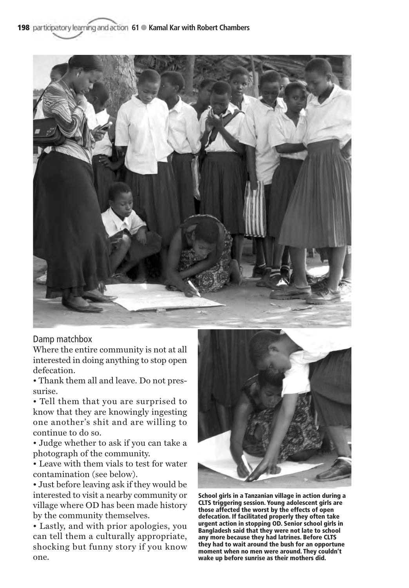198 **participatory learning and action 61 · Kamal Kar with Robert Chambers** 



# Damp matchbox

Where the entire community is not at all interested in doing anything to stop open defecation.

• Thank them all and leave. Do not pressurise.

• Tell them that you are surprised to know that they are knowingly ingesting one another's shit and are willing to continue to do so.

• Judge whether to ask if you can take a photograph of the community.

• Leave with them vials to test for water contamination (see below).

• Just before leaving ask if they would be interested to visit a nearby community or village where OD has been made history by the community themselves.

• Lastly, and with prior apologies, you can tell them a culturally appropriate, shocking but funny story if you know one.



**School girls in a Tanzanian village in action during a CLTS triggering session. Young adolescent girls are those affected the worst by the effects of open defecation. If facilitated properly they often take urgent action in stopping OD. Senior school girls in Bangladesh said that they were not late to school any more because they had latrines. Before CLTS they had to wait around the bush for an opportune moment when no men were around. They couldn't wake up before sunrise as their mothers did.**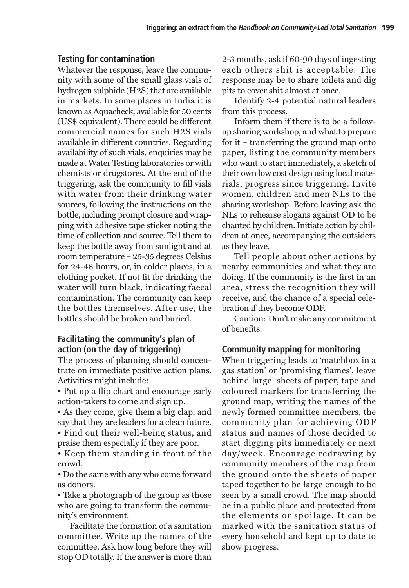#### **Testing for contamination**

Whatever the response, leave the community with some of the small glass vials of hydrogen sulphide (H2S) that are available in markets. In some places in India it is known as Aquacheck, available for 50 cents (US\$ equivalent). There could be different commercial names for such H2S vials available in different countries. Regarding availability of such vials, enquiries may be made at Water Testing laboratories or with chemists or drugstores. At the end of the triggering, ask the community to fill vials with water from their drinking water sources, following the instructions on the bottle, including prompt closure and wrapping with adhesive tape sticker noting the time of collection and source. Tell them to keep the bottle away from sunlight and at room temperature – 25-35 degrees Celsius for 24-48 hours, or, in colder places, in a clothing pocket. If not fit for drinking the water will turn black, indicating faecal contamination. The community can keep the bottles themselves. After use, the bottles should be broken and buried.

# **Facilitating the community's plan of action (on the day of triggering)**

The process of planning should concentrate on immediate positive action plans. Activities might include:

• Put up a flip chart and encourage early action-takers to come and sign up.

• As they come, give them a big clap, and say that they are leaders for a clean future.

• Find out their well-being status, and praise them especially if they are poor.

• Keep them standing in front of the crowd.

• Do the same with any who come forward as donors.

• Take a photograph of the group as those who are going to transform the community's environment.

Facilitate the formation of a sanitation committee. Write up the names of the committee. Ask how long before they will stop OD totally. If the answer is more than

2-3 months, ask if 60-90 days of ingesting each others shit is acceptable. The response may be to share toilets and dig pits to cover shit almost at once.

Identify 2-4 potential natural leaders from this process.

Inform them if there is to be a followup sharing workshop, and what to prepare for it – transferring the ground map onto paper, listing the community members who want to start immediately, a sketch of their own low cost design using local materials, progress since triggering. Invite women, children and men NLs to the sharing workshop. Before leaving ask the NLs to rehearse slogans against OD to be chanted by children. Initiate action by children at once, accompanying the outsiders as they leave.

Tell people about other actions by nearby communities and what they are doing. If the community is the first in an area, stress the recognition they will receive, and the chance of a special celebration if they become ODF.

Caution: Don't make any commitment of benefits.

# **Community mapping for monitoring**

When triggering leads to 'matchbox in a gas station' or 'promising flames', leave behind large sheets of paper, tape and coloured markers for transferring the ground map, writing the names of the newly formed committee members, the community plan for achieving ODF status and names of those decided to start digging pits immediately or next day/week. Encourage redrawing by community members of the map from the ground onto the sheets of paper taped together to be large enough to be seen by a small crowd. The map should be in a public place and protected from the elements or spoilage. It can be marked with the sanitation status of every household and kept up to date to show progress.